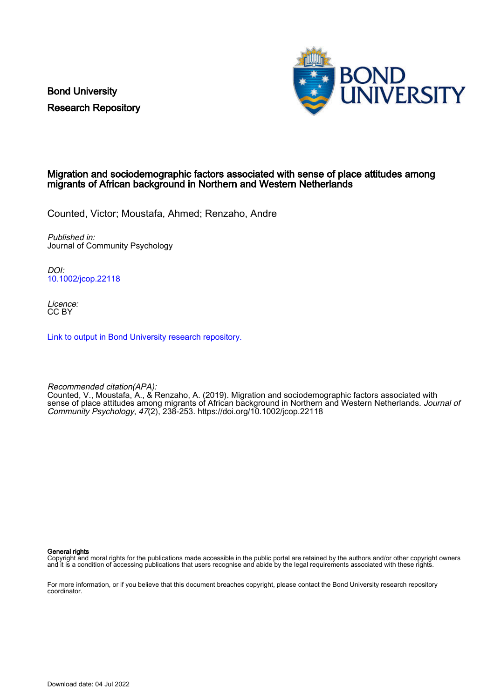Bond University Research Repository



## Migration and sociodemographic factors associated with sense of place attitudes among migrants of African background in Northern and Western Netherlands

Counted, Victor; Moustafa, Ahmed; Renzaho, Andre

Published in: Journal of Community Psychology

DOI: [10.1002/jcop.22118](https://doi.org/10.1002/jcop.22118)

Licence: CC BY

[Link to output in Bond University research repository.](https://research.bond.edu.au/en/publications/f3a32862-0fb3-4b94-a0db-a10d60d88092)

Recommended citation(APA): Counted, V., Moustafa, A., & Renzaho, A. (2019). Migration and sociodemographic factors associated with sense of place attitudes among migrants of African background in Northern and Western Netherlands. Journal of Community Psychology, 47(2), 238-253.<https://doi.org/10.1002/jcop.22118>

General rights

Copyright and moral rights for the publications made accessible in the public portal are retained by the authors and/or other copyright owners and it is a condition of accessing publications that users recognise and abide by the legal requirements associated with these rights.

For more information, or if you believe that this document breaches copyright, please contact the Bond University research repository coordinator.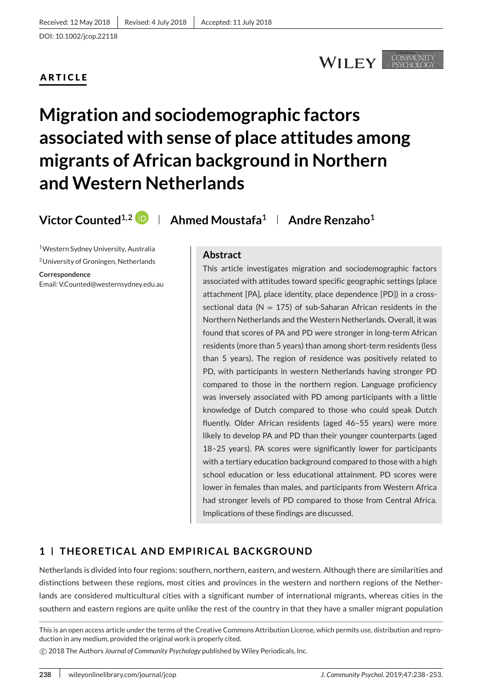# **ARTICLE**

# **WILEY**

# **COMMUNITY**

# **Migration and sociodemographic factors associated with sense of place attitudes among migrants of African background in Northern and Western Netherlands**

**Victor Counted<sup>1,2</sup> <b>Ahmed Moustafa**<sup>1</sup> **Andre Renzaho**<sup>1</sup>

1Western Sydney University, Australia 2University of Groningen, Netherlands

**Correspondence**

Email: V.Counted@westernsydney.edu.au

#### **Abstract**

This article investigates migration and sociodemographic factors associated with attitudes toward specific geographic settings (place attachment [PA], place identity, place dependence [PD]) in a crosssectional data ( $N = 175$ ) of sub-Saharan African residents in the Northern Netherlands and the Western Netherlands. Overall, it was found that scores of PA and PD were stronger in long-term African residents (more than 5 years) than among short-term residents (less than 5 years). The region of residence was positively related to PD, with participants in western Netherlands having stronger PD compared to those in the northern region. Language proficiency was inversely associated with PD among participants with a little knowledge of Dutch compared to those who could speak Dutch fluently. Older African residents (aged 46–55 years) were more likely to develop PA and PD than their younger counterparts (aged 18–25 years). PA scores were significantly lower for participants with a tertiary education background compared to those with a high school education or less educational attainment. PD scores were lower in females than males, and participants from Western Africa had stronger levels of PD compared to those from Central Africa. Implications of these findings are discussed.

# **1 THEORETICAL AND EMPIRICAL BACKGROUND**

Netherlands is divided into four regions: southern, northern, eastern, and western. Although there are similarities and distinctions between these regions, most cities and provinces in the western and northern regions of the Netherlands are considered multicultural cities with a significant number of international migrants, whereas cities in the southern and eastern regions are quite unlike the rest of the country in that they have a smaller migrant population

This is an open access article under the terms of th[e Creative Commons Attribution](http://creativecommons.org/licenses/by/4.0/) License, which permits use, distribution and reproduction in any medium, provided the original work is properly cited.

-c 2018 The Authors *Journal of Community Psychology* published by Wiley Periodicals, Inc.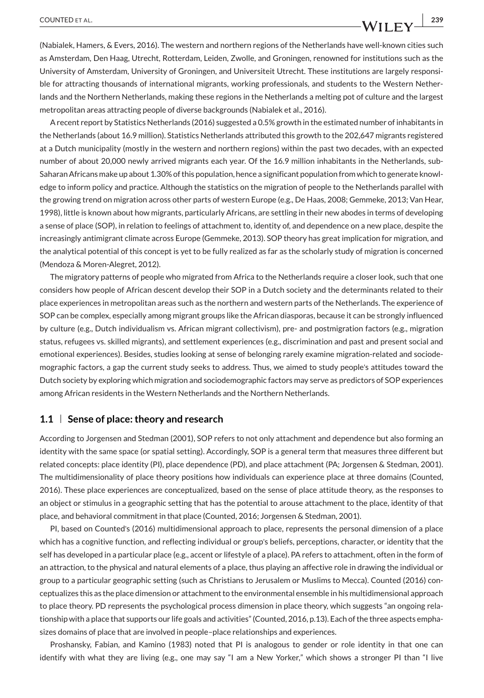(Nabialek, Hamers, & Evers, 2016). The western and northern regions of the Netherlands have well-known cities such as Amsterdam, Den Haag, Utrecht, Rotterdam, Leiden, Zwolle, and Groningen, renowned for institutions such as the University of Amsterdam, University of Groningen, and Universiteit Utrecht. These institutions are largely responsible for attracting thousands of international migrants, working professionals, and students to the Western Netherlands and the Northern Netherlands, making these regions in the Netherlands a melting pot of culture and the largest metropolitan areas attracting people of diverse backgrounds (Nabialek et al., 2016).

A recent report by Statistics Netherlands (2016) suggested a 0.5% growth in the estimated number of inhabitants in the Netherlands (about 16.9 million). Statistics Netherlands attributed this growth to the 202,647 migrants registered at a Dutch municipality (mostly in the western and northern regions) within the past two decades, with an expected number of about 20,000 newly arrived migrants each year. Of the 16.9 million inhabitants in the Netherlands, sub-Saharan Africans make up about 1.30% of this population, hence a significant population from which to generate knowledge to inform policy and practice. Although the statistics on the migration of people to the Netherlands parallel with the growing trend on migration across other parts of western Europe (e.g., De Haas, 2008; Gemmeke, 2013; Van Hear, 1998), little is known about how migrants, particularly Africans, are settling in their new abodes in terms of developing a sense of place (SOP), in relation to feelings of attachment to, identity of, and dependence on a new place, despite the increasingly antimigrant climate across Europe (Gemmeke, 2013). SOP theory has great implication for migration, and the analytical potential of this concept is yet to be fully realized as far as the scholarly study of migration is concerned (Mendoza & Moren-Alegret, 2012).

The migratory patterns of people who migrated from Africa to the Netherlands require a closer look, such that one considers how people of African descent develop their SOP in a Dutch society and the determinants related to their place experiences in metropolitan areas such as the northern and western parts of the Netherlands. The experience of SOP can be complex, especially among migrant groups like the African diasporas, because it can be strongly influenced by culture (e.g., Dutch individualism vs. African migrant collectivism), pre- and postmigration factors (e.g., migration status, refugees vs. skilled migrants), and settlement experiences (e.g., discrimination and past and present social and emotional experiences). Besides, studies looking at sense of belonging rarely examine migration-related and sociodemographic factors, a gap the current study seeks to address. Thus, we aimed to study people's attitudes toward the Dutch society by exploring which migration and sociodemographic factors may serve as predictors of SOP experiences among African residents in the Western Netherlands and the Northern Netherlands.

#### **1.1 Sense of place: theory and research**

According to Jorgensen and Stedman (2001), SOP refers to not only attachment and dependence but also forming an identity with the same space (or spatial setting). Accordingly, SOP is a general term that measures three different but related concepts: place identity (PI), place dependence (PD), and place attachment (PA; Jorgensen & Stedman, 2001). The multidimensionality of place theory positions how individuals can experience place at three domains (Counted, 2016). These place experiences are conceptualized, based on the sense of place attitude theory, as the responses to an object or stimulus in a geographic setting that has the potential to arouse attachment to the place, identity of that place, and behavioral commitment in that place (Counted, 2016; Jorgensen & Stedman, 2001).

PI, based on Counted's (2016) multidimensional approach to place, represents the personal dimension of a place which has a cognitive function, and reflecting individual or group's beliefs, perceptions, character, or identity that the self has developed in a particular place (e.g., accent or lifestyle of a place). PA refers to attachment, often in the form of an attraction, to the physical and natural elements of a place, thus playing an affective role in drawing the individual or group to a particular geographic setting (such as Christians to Jerusalem or Muslims to Mecca). Counted (2016) conceptualizes this as the place dimension or attachment to the environmental ensemble in his multidimensional approach to place theory. PD represents the psychological process dimension in place theory, which suggests "an ongoing relationship with a place that supports our life goals and activities" (Counted, 2016, p.13). Each of the three aspects emphasizes domains of place that are involved in people–place relationships and experiences.

Proshansky, Fabian, and Kamino (1983) noted that PI is analogous to gender or role identity in that one can identify with what they are living (e.g., one may say "I am a New Yorker," which shows a stronger PI than "I live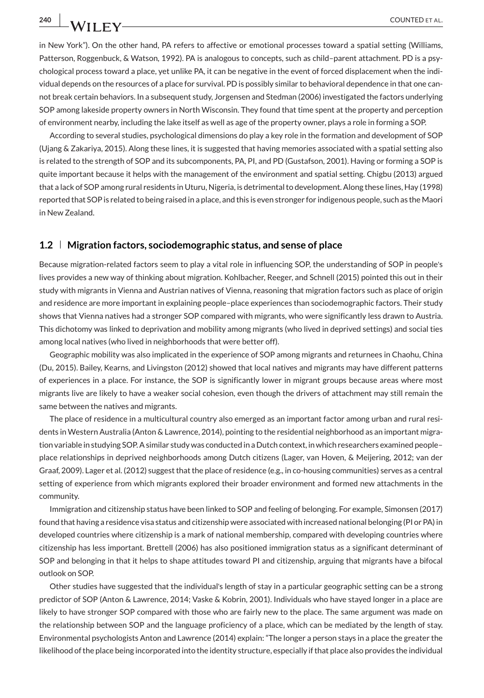in New York"). On the other hand, PA refers to affective or emotional processes toward a spatial setting (Williams, Patterson, Roggenbuck, & Watson, 1992). PA is analogous to concepts, such as child–parent attachment. PD is a psychological process toward a place, yet unlike PA, it can be negative in the event of forced displacement when the individual depends on the resources of a place for survival. PD is possibly similar to behavioral dependence in that one cannot break certain behaviors. In a subsequent study, Jorgensen and Stedman (2006) investigated the factors underlying SOP among lakeside property owners in North Wisconsin. They found that time spent at the property and perception of environment nearby, including the lake itself as well as age of the property owner, plays a role in forming a SOP.

According to several studies, psychological dimensions do play a key role in the formation and development of SOP (Ujang & Zakariya, 2015). Along these lines, it is suggested that having memories associated with a spatial setting also is related to the strength of SOP and its subcomponents, PA, PI, and PD (Gustafson, 2001). Having or forming a SOP is quite important because it helps with the management of the environment and spatial setting. Chigbu (2013) argued that a lack of SOP among rural residents in Uturu, Nigeria, is detrimental to development. Along these lines, Hay (1998) reported that SOP is related to being raised in a place, and this is even stronger for indigenous people, such as the Maori in New Zealand.

#### **1.2 Migration factors, sociodemographic status, and sense of place**

Because migration-related factors seem to play a vital role in influencing SOP, the understanding of SOP in people's lives provides a new way of thinking about migration. Kohlbacher, Reeger, and Schnell (2015) pointed this out in their study with migrants in Vienna and Austrian natives of Vienna, reasoning that migration factors such as place of origin and residence are more important in explaining people–place experiences than sociodemographic factors. Their study shows that Vienna natives had a stronger SOP compared with migrants, who were significantly less drawn to Austria. This dichotomy was linked to deprivation and mobility among migrants (who lived in deprived settings) and social ties among local natives (who lived in neighborhoods that were better off).

Geographic mobility was also implicated in the experience of SOP among migrants and returnees in Chaohu, China (Du, 2015). Bailey, Kearns, and Livingston (2012) showed that local natives and migrants may have different patterns of experiences in a place. For instance, the SOP is significantly lower in migrant groups because areas where most migrants live are likely to have a weaker social cohesion, even though the drivers of attachment may still remain the same between the natives and migrants.

The place of residence in a multicultural country also emerged as an important factor among urban and rural residents in Western Australia (Anton & Lawrence, 2014), pointing to the residential neighborhood as an important migration variable in studying SOP. A similar study was conducted in a Dutch context, in which researchers examined people– place relationships in deprived neighborhoods among Dutch citizens (Lager, van Hoven, & Meijering, 2012; van der Graaf, 2009). Lager et al. (2012) suggest that the place of residence (e.g., in co-housing communities) serves as a central setting of experience from which migrants explored their broader environment and formed new attachments in the community.

Immigration and citizenship status have been linked to SOP and feeling of belonging. For example, Simonsen (2017) found that having a residence visa status and citizenship were associated with increased national belonging (PI or PA) in developed countries where citizenship is a mark of national membership, compared with developing countries where citizenship has less important. Brettell (2006) has also positioned immigration status as a significant determinant of SOP and belonging in that it helps to shape attitudes toward PI and citizenship, arguing that migrants have a bifocal outlook on SOP.

Other studies have suggested that the individual's length of stay in a particular geographic setting can be a strong predictor of SOP (Anton & Lawrence, 2014; Vaske & Kobrin, 2001). Individuals who have stayed longer in a place are likely to have stronger SOP compared with those who are fairly new to the place. The same argument was made on the relationship between SOP and the language proficiency of a place, which can be mediated by the length of stay. Environmental psychologists Anton and Lawrence (2014) explain: "The longer a person stays in a place the greater the likelihood of the place being incorporated into the identity structure, especially if that place also provides the individual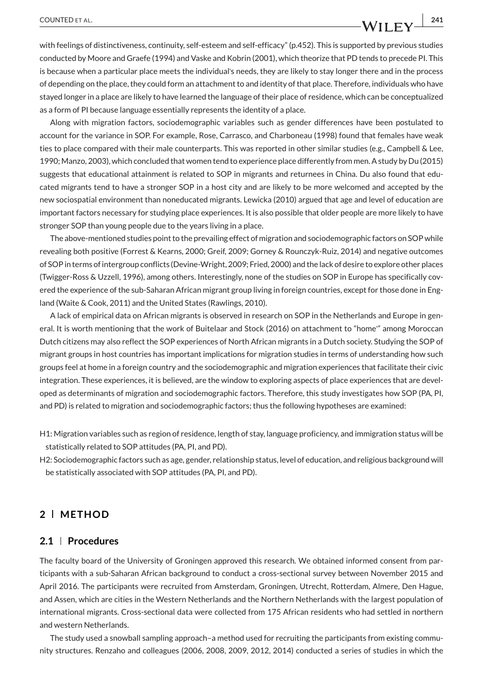with feelings of distinctiveness, continuity, self-esteem and self-efficacy" (p.452). This is supported by previous studies conducted by Moore and Graefe (1994) and Vaske and Kobrin (2001), which theorize that PD tends to precede PI. This is because when a particular place meets the individual's needs, they are likely to stay longer there and in the process of depending on the place, they could form an attachment to and identity of that place. Therefore, individuals who have stayed longer in a place are likely to have learned the language of their place of residence, which can be conceptualized as a form of PI because language essentially represents the identity of a place.

Along with migration factors, sociodemographic variables such as gender differences have been postulated to account for the variance in SOP. For example, Rose, Carrasco, and Charboneau (1998) found that females have weak ties to place compared with their male counterparts. This was reported in other similar studies (e.g., Campbell & Lee, 1990; Manzo, 2003), which concluded that women tend to experience place differently from men. A study by Du (2015) suggests that educational attainment is related to SOP in migrants and returnees in China. Du also found that educated migrants tend to have a stronger SOP in a host city and are likely to be more welcomed and accepted by the new sociospatial environment than noneducated migrants. Lewicka (2010) argued that age and level of education are important factors necessary for studying place experiences. It is also possible that older people are more likely to have stronger SOP than young people due to the years living in a place.

The above-mentioned studies point to the prevailing effect of migration and sociodemographic factors on SOP while revealing both positive (Forrest & Kearns, 2000; Greif, 2009; Gorney & Rounczyk-Ruiz, 2014) and negative outcomes of SOP in terms of intergroup conflicts (Devine-Wright, 2009; Fried, 2000) and the lack of desire to explore other places (Twigger-Ross & Uzzell, 1996), among others. Interestingly, none of the studies on SOP in Europe has specifically covered the experience of the sub-Saharan African migrant group living in foreign countries, except for those done in England (Waite & Cook, 2011) and the United States (Rawlings, 2010).

A lack of empirical data on African migrants is observed in research on SOP in the Netherlands and Europe in general. It is worth mentioning that the work of Buitelaar and Stock (2016) on attachment to "home'" among Moroccan Dutch citizens may also reflect the SOP experiences of North African migrants in a Dutch society. Studying the SOP of migrant groups in host countries has important implications for migration studies in terms of understanding how such groups feel at home in a foreign country and the sociodemographic and migration experiences that facilitate their civic integration. These experiences, it is believed, are the window to exploring aspects of place experiences that are developed as determinants of migration and sociodemographic factors. Therefore, this study investigates how SOP (PA, PI, and PD) is related to migration and sociodemographic factors; thus the following hypotheses are examined:

- H1: Migration variables such as region of residence, length of stay, language proficiency, and immigration status will be statistically related to SOP attitudes (PA, PI, and PD).
- H2: Sociodemographic factors such as age, gender, relationship status, level of education, and religious background will be statistically associated with SOP attitudes (PA, PI, and PD).

### **2 METHOD**

#### **2.1 Procedures**

The faculty board of the University of Groningen approved this research. We obtained informed consent from participants with a sub-Saharan African background to conduct a cross-sectional survey between November 2015 and April 2016. The participants were recruited from Amsterdam, Groningen, Utrecht, Rotterdam, Almere, Den Hague, and Assen, which are cities in the Western Netherlands and the Northern Netherlands with the largest population of international migrants. Cross-sectional data were collected from 175 African residents who had settled in northern and western Netherlands.

The study used a snowball sampling approach–a method used for recruiting the participants from existing community structures. Renzaho and colleagues (2006, 2008, 2009, 2012, 2014) conducted a series of studies in which the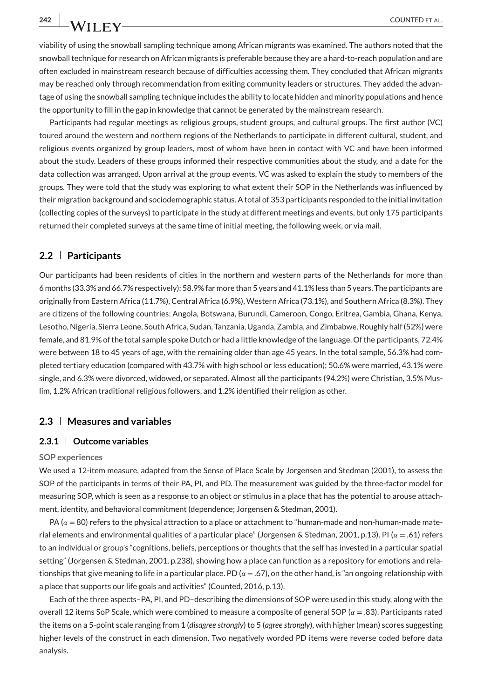viability of using the snowball sampling technique among African migrants was examined. The authors noted that the snowball technique for research on African migrants is preferable because they are a hard-to-reach population and are often excluded in mainstream research because of difficulties accessing them. They concluded that African migrants may be reached only through recommendation from exiting community leaders or structures. They added the advantage of using the snowball sampling technique includes the ability to locate hidden and minority populations and hence the opportunity to fill in the gap in knowledge that cannot be generated by the mainstream research.

Participants had regular meetings as religious groups, student groups, and cultural groups. The first author (VC) toured around the western and northern regions of the Netherlands to participate in different cultural, student, and religious events organized by group leaders, most of whom have been in contact with VC and have been informed about the study. Leaders of these groups informed their respective communities about the study, and a date for the data collection was arranged. Upon arrival at the group events, VC was asked to explain the study to members of the groups. They were told that the study was exploring to what extent their SOP in the Netherlands was influenced by their migration background and sociodemographic status. A total of 353 participants responded to the initial invitation (collecting copies of the surveys) to participate in the study at different meetings and events, but only 175 participants returned their completed surveys at the same time of initial meeting, the following week, or via mail.

#### **2.2 Participants**

Our participants had been residents of cities in the northern and western parts of the Netherlands for more than 6 months (33.3% and 66.7% respectively): 58.9% far more than 5 years and 41.1% less than 5 years. The participants are originally from Eastern Africa (11.7%), Central Africa (6.9%), Western Africa (73.1%), and Southern Africa (8.3%). They are citizens of the following countries: Angola, Botswana, Burundi, Cameroon, Congo, Eritrea, Gambia, Ghana, Kenya, Lesotho, Nigeria, Sierra Leone, South Africa, Sudan, Tanzania, Uganda, Zambia, and Zimbabwe. Roughly half (52%) were female, and 81.9% of the total sample spoke Dutch or had a little knowledge of the language. Of the participants, 72.4% were between 18 to 45 years of age, with the remaining older than age 45 years. In the total sample, 56.3% had completed tertiary education (compared with 43.7% with high school or less education); 50.6% were married, 43.1% were single, and 6.3% were divorced, widowed, or separated. Almost all the participants (94.2%) were Christian, 3.5% Muslim, 1.2% African traditional religious followers, and 1.2% identified their religion as other.

#### **2.3 Measures and variables**

#### **2.3.1 Outcome variables**

#### **SOP experiences**

We used a 12-item measure, adapted from the Sense of Place Scale by Jorgensen and Stedman (2001), to assess the SOP of the participants in terms of their PA, PI, and PD. The measurement was guided by the three-factor model for measuring SOP, which is seen as a response to an object or stimulus in a place that has the potential to arouse attachment, identity, and behavioral commitment (dependence; Jorgensen & Stedman, 2001).

PA  $(\alpha = 80)$  refers to the physical attraction to a place or attachment to "human-made and non-human-made material elements and environmental qualities of a particular place" (Jorgensen & Stedman, 2001, p.13). PI ( $\alpha = .61$ ) refers to an individual or group's "cognitions, beliefs, perceptions or thoughts that the self has invested in a particular spatial setting" (Jorgensen & Stedman, 2001, p.238), showing how a place can function as a repository for emotions and relationships that give meaning to life in a particular place. PD ( $\alpha$  = .67), on the other hand, is "an ongoing relationship with a place that supports our life goals and activities" (Counted, 2016, p.13).

Each of the three aspects–PA, PI, and PD–describing the dimensions of SOP were used in this study, along with the overall 12 items SoP Scale, which were combined to measure a composite of general SOP ( $\alpha$  = .83). Participants rated the items on a 5-point scale ranging from 1 (*disagree strongly*) to 5 (*agree strongly*), with higher (mean) scores suggesting higher levels of the construct in each dimension. Two negatively worded PD items were reverse coded before data analysis.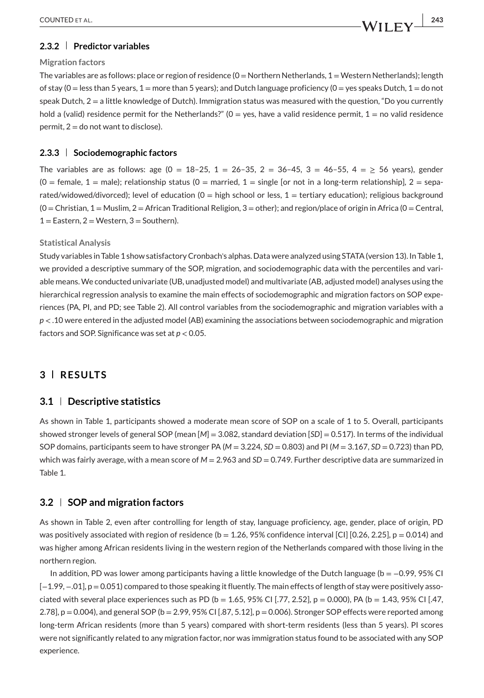#### **2.3.2 Predictor variables**

#### **Migration factors**

The variables are as follows: place or region of residence (0 = Northern Netherlands, 1 = Western Netherlands); length of stay (0 = less than 5 years,  $1$  = more than 5 years); and Dutch language proficiency (0 = yes speaks Dutch,  $1$  = do not speak Dutch, 2 = a little knowledge of Dutch). Immigration status was measured with the question, "Do you currently hold a (valid) residence permit for the Netherlands?" ( $0 = yes$ , have a valid residence permit,  $1 = no$  valid residence permit,  $2 =$  do not want to disclose).

#### **2.3.3 Sociodemographic factors**

The variables are as follows: age (0 = 18–25, 1 = 26–35, 2 = 36–45, 3 = 46–55, 4 =  $\geq$  56 years), gender  $(0 =$  female,  $1 =$  male); relationship status  $(0 =$  married,  $1 =$  single [or not in a long-term relationship],  $2 =$  separated/widowed/divorced); level of education  $(0 = high school or less, 1 = tertiary education)$ ; religious background  $(0 =$ Christian,  $1 =$ Muslim,  $2 =$  African Traditional Religion,  $3 =$  other); and region/place of origin in Africa (0 = Central,  $1 =$  Eastern,  $2 =$  Western,  $3 =$  Southern).

#### **Statistical Analysis**

Study variables in Table 1 show satisfactory Cronbach's alphas. Data were analyzed using STATA (version 13). In Table 1, we provided a descriptive summary of the SOP, migration, and sociodemographic data with the percentiles and variable means.We conducted univariate (UB, unadjusted model) and multivariate (AB, adjusted model) analyses using the hierarchical regression analysis to examine the main effects of sociodemographic and migration factors on SOP experiences (PA, PI, and PD; see Table 2). All control variables from the sociodemographic and migration variables with a *p <* .10 were entered in the adjusted model (AB) examining the associations between sociodemographic and migration factors and SOP. Significance was set at *p <* 0.05.

### **3 RESULTS**

#### **3.1 Descriptive statistics**

As shown in Table 1, participants showed a moderate mean score of SOP on a scale of 1 to 5. Overall, participants showed stronger levels of general SOP (mean [*M*] = 3.082, standard deviation [*SD*] = 0.517). In terms of the individual SOP domains, participants seem to have stronger PA (*M* = 3.224, *SD* = 0.803) and PI (*M* = 3.167, *SD* = 0.723) than PD, which was fairly average, with a mean score of  $M = 2.963$  and  $SD = 0.749$ . Further descriptive data are summarized in Table 1.

#### **3.2 SOP and migration factors**

As shown in Table 2, even after controlling for length of stay, language proficiency, age, gender, place of origin, PD was positively associated with region of residence ( $b = 1.26$ , 95% confidence interval [CI] [0.26, 2.25],  $p = 0.014$ ) and was higher among African residents living in the western region of the Netherlands compared with those living in the northern region.

In addition, PD was lower among participants having a little knowledge of the Dutch language (b = −0.99, 95% CI [−1.99,−.01], p =0.051) compared to those speaking it fluently. The main effects of length of stay were positively associated with several place experiences such as PD (b = 1.65, 95% CI [.77, 2.52], p = 0.000), PA (b = 1.43, 95% CI [.47, 2.78],  $p = 0.004$ ), and general SOP ( $b = 2.99$ , 95% CI [.87, 5.12],  $p = 0.006$ ). Stronger SOP effects were reported among long-term African residents (more than 5 years) compared with short-term residents (less than 5 years). PI scores were not significantly related to any migration factor, nor was immigration status found to be associated with any SOP experience.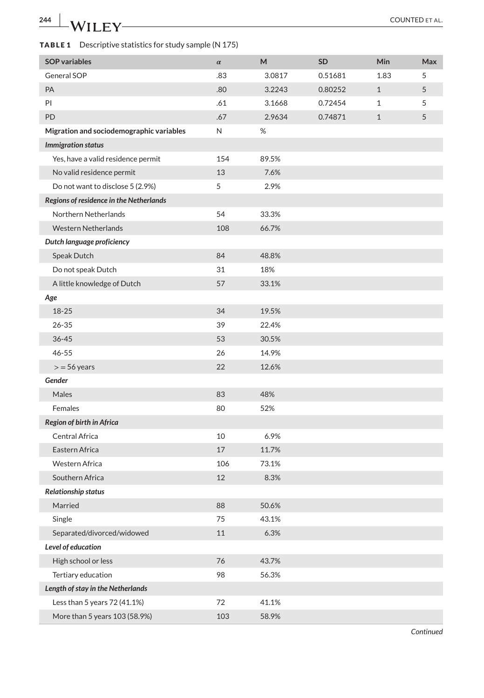#### **TABLE 1** Descriptive statistics for study sample (N 175)

| <b>SOP</b> variables                     | $\alpha$ | M      | <b>SD</b> | Min          | Max |
|------------------------------------------|----------|--------|-----------|--------------|-----|
| <b>General SOP</b>                       | .83      | 3.0817 | 0.51681   | 1.83         | 5   |
| PA                                       | .80      | 3.2243 | 0.80252   | $\mathbf{1}$ | 5   |
| PI                                       | .61      | 3.1668 | 0.72454   | $\mathbf{1}$ | 5   |
| PD                                       | .67      | 2.9634 | 0.74871   | $\mathbf{1}$ | 5   |
| Migration and sociodemographic variables | N        | %      |           |              |     |
| <b>Immigration status</b>                |          |        |           |              |     |
| Yes, have a valid residence permit       | 154      | 89.5%  |           |              |     |
| No valid residence permit                | 13       | 7.6%   |           |              |     |
| Do not want to disclose 5 (2.9%)         | 5        | 2.9%   |           |              |     |
| Regions of residence in the Netherlands  |          |        |           |              |     |
| Northern Netherlands                     | 54       | 33.3%  |           |              |     |
| <b>Western Netherlands</b>               | 108      | 66.7%  |           |              |     |
| Dutch language proficiency               |          |        |           |              |     |
| Speak Dutch                              | 84       | 48.8%  |           |              |     |
| Do not speak Dutch                       | 31       | 18%    |           |              |     |
| A little knowledge of Dutch              | 57       | 33.1%  |           |              |     |
| Age                                      |          |        |           |              |     |
| 18-25                                    | 34       | 19.5%  |           |              |     |
| $26 - 35$                                | 39       | 22.4%  |           |              |     |
| $36 - 45$                                | 53       | 30.5%  |           |              |     |
| $46 - 55$                                | 26       | 14.9%  |           |              |     |
| $>$ = 56 years                           | 22       | 12.6%  |           |              |     |
| Gender                                   |          |        |           |              |     |
| Males                                    | 83       | 48%    |           |              |     |
| Females                                  | 80       | 52%    |           |              |     |
| Region of birth in Africa                |          |        |           |              |     |
| Central Africa                           | 10       | 6.9%   |           |              |     |
| Eastern Africa                           | 17       | 11.7%  |           |              |     |
| Western Africa                           | 106      | 73.1%  |           |              |     |
| Southern Africa                          | 12       | 8.3%   |           |              |     |
| <b>Relationship status</b>               |          |        |           |              |     |
| Married                                  | 88       | 50.6%  |           |              |     |
| Single                                   | 75       | 43.1%  |           |              |     |
| Separated/divorced/widowed               | 11       | 6.3%   |           |              |     |
| Level of education                       |          |        |           |              |     |
| High school or less                      | 76       | 43.7%  |           |              |     |
| Tertiary education                       | 98       | 56.3%  |           |              |     |
| Length of stay in the Netherlands        |          |        |           |              |     |
| Less than 5 years 72 (41.1%)             | 72       | 41.1%  |           |              |     |
| More than 5 years 103 (58.9%)            | 103      | 58.9%  |           |              |     |

*Continued*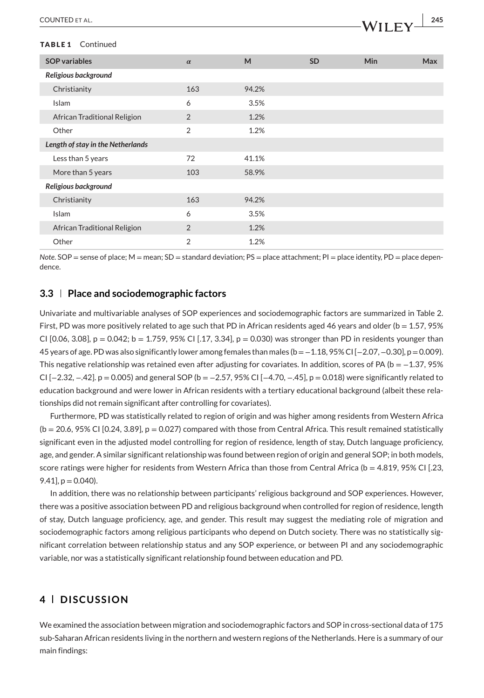#### **TABLE 1** Continued

| <b>SOP</b> variables              | $\alpha$       | M     | <b>SD</b> | Min | Max |
|-----------------------------------|----------------|-------|-----------|-----|-----|
| Religious background              |                |       |           |     |     |
| Christianity                      | 163            | 94.2% |           |     |     |
| <b>Islam</b>                      | 6              | 3.5%  |           |     |     |
| African Traditional Religion      | $\overline{2}$ | 1.2%  |           |     |     |
| Other                             | $\overline{2}$ | 1.2%  |           |     |     |
| Length of stay in the Netherlands |                |       |           |     |     |
| Less than 5 years                 | 72             | 41.1% |           |     |     |
| More than 5 years                 | 103            | 58.9% |           |     |     |
| Religious background              |                |       |           |     |     |
| Christianity                      | 163            | 94.2% |           |     |     |
| <b>Islam</b>                      | 6              | 3.5%  |           |     |     |
| African Traditional Religion      | $\overline{2}$ | 1.2%  |           |     |     |
| Other                             | $\overline{2}$ | 1.2%  |           |     |     |

*Note*. SOP = sense of place; M = mean; SD = standard deviation; PS = place attachment; PI = place identity, PD = place dependence.

#### **3.3 Place and sociodemographic factors**

Univariate and multivariable analyses of SOP experiences and sociodemographic factors are summarized in Table 2. First, PD was more positively related to age such that PD in African residents aged 46 years and older ( $b = 1.57$ , 95% CI  $[0.06, 3.08]$ ,  $p = 0.042$ ;  $b = 1.759$ , 95% CI  $[.17, 3.34]$ ,  $p = 0.030$ ) was stronger than PD in residents younger than 45 years of age. PD was also significantly lower among females than males (b= −1.18, 95% CI [−2.07,−0.30], p=0.009). This negative relationship was retained even after adjusting for covariates. In addition, scores of PA (b =  $-1.37$ , 95% CI [−2.32, −.42]. p = 0.005) and general SOP (b = −2.57, 95% CI [−4.70, −.45], p = 0.018) were significantly related to education background and were lower in African residents with a tertiary educational background (albeit these relationships did not remain significant after controlling for covariates).

Furthermore, PD was statistically related to region of origin and was higher among residents from Western Africa  $(b = 20.6, 95\%$  CI [0.24, 3.89],  $p = 0.027$ ) compared with those from Central Africa. This result remained statistically significant even in the adjusted model controlling for region of residence, length of stay, Dutch language proficiency, age, and gender. A similar significant relationship was found between region of origin and general SOP; in both models, score ratings were higher for residents from Western Africa than those from Central Africa ( $b = 4.819$ , 95% CI [.23,  $9.41$ ],  $p = 0.040$ ).

In addition, there was no relationship between participants' religious background and SOP experiences. However, there was a positive association between PD and religious background when controlled for region of residence, length of stay, Dutch language proficiency, age, and gender. This result may suggest the mediating role of migration and sociodemographic factors among religious participants who depend on Dutch society. There was no statistically significant correlation between relationship status and any SOP experience, or between PI and any sociodemographic variable, nor was a statistically significant relationship found between education and PD.

## **4 DISCUSSION**

We examined the association between migration and sociodemographic factors and SOP in cross-sectional data of 175 sub-Saharan African residents living in the northern and western regions of the Netherlands. Here is a summary of our main findings: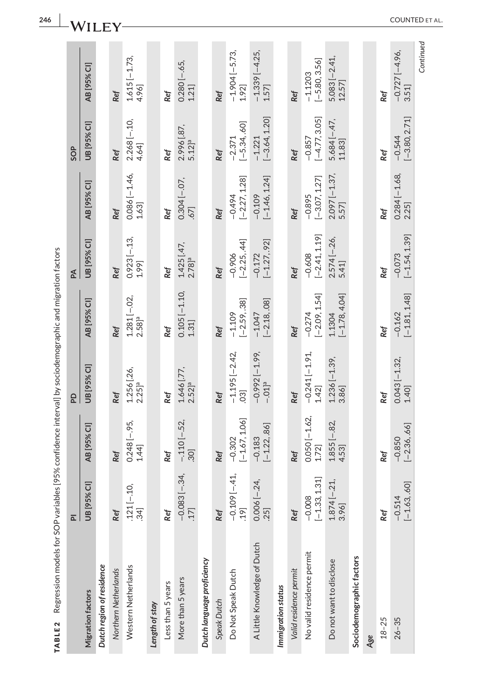| Regression models for SOP variables<br>TABLE <sub>2</sub> |                                  |                             | [95% confidence interval] by sociodemographic and migration factors |                                      |                                     |                             |                                 |                            |
|-----------------------------------------------------------|----------------------------------|-----------------------------|---------------------------------------------------------------------|--------------------------------------|-------------------------------------|-----------------------------|---------------------------------|----------------------------|
|                                                           | $\overline{\mathbf{a}}$          |                             | <b>PD</b>                                                           |                                      | Æ                                   |                             | <b>SOP</b>                      |                            |
| Migration factors                                         | $\equiv$<br><b>UB</b> [95% CI    | AB [95% CI]                 | <b>UB</b> [95% CI]                                                  | AB [95% CI]                          | <b>UB</b> [95% CI]                  | AB [95% CI]                 | <b>UB</b> [95% CI]              | AB [95% CI]                |
| Dutch region of residence                                 |                                  |                             |                                                                     |                                      |                                     |                             |                                 |                            |
| Northern Netherlands                                      | Ref                              | Ref                         | Ref                                                                 | Ref                                  | Ref                                 | Ref                         | Ref                             | Ref                        |
| Western Netherlands                                       | $.121[-.10,$<br>34               | $0.248[-.95,$<br>1.44]      | $1.256$ [.26,<br>$2.25$ ] <sup>a</sup>                              | $1.281$ [-.02,<br>2.58] <sup>a</sup> | $0.923[-13]$<br>1.99]               | $0.086[-1.46, 1.63]$        | $2.268[-.10, 4.64]$             | $1.615[-1.73]$<br>4.96]    |
| Length of stay                                            |                                  |                             |                                                                     |                                      |                                     |                             |                                 |                            |
| Less than 5 years                                         | Ref                              | Ref                         | Ref                                                                 | Ref                                  | Ref                                 | Ref                         | Ref                             | Ref                        |
| More than 5 years                                         | $-0.083[-.34, 17]$               | $-.110[-.52]$<br>30]        | $1.646$ [.77,<br>$2.52$ ] <sup>a</sup>                              | $0.105$ [-1.10,<br>1.31]             | $1.425$ [.47,<br>2.78] <sup>a</sup> | $0.304[-.07, 67]$           | $2.996[.87, 5.12]$ <sup>a</sup> | $0.280[-.65, 1.21]$        |
| Dutch language proficiency                                |                                  |                             |                                                                     |                                      |                                     |                             |                                 |                            |
| Speak Dutch                                               | Ref                              | Ref                         | Ref                                                                 | Ref                                  | Ref                                 | Ref                         | Ref                             | Ref                        |
| Do Not Speak Dutch                                        | $-0.109$ [ $-41$ ,<br><b>19]</b> | $[-1.67, 1.06]$<br>$-0.302$ | $-1.195[-2.42]$<br>03                                               | $-1.109$<br>$[-2.59, .38]$           | $-0.906$<br>[-2.25, 44]             | $-0.494$<br>[-2.27, 1.28]   | $-2.371$<br>[ $-5.34, 60$ ]     | $-1.904[-5.73,$<br>1.92]   |
| A Little Knowledge of Dutch                               | $0.006[-.24, 25]$                | $[-1.22, 86]$<br>$-0.183$   | $-0.992[-1.99]$<br>$-.01]$ <sup>a</sup>                             | $[-2.18, 08]$<br>$-1.047$            | $[-1.27, 92]$<br>$-0.172$           | $[-1.46, 1.24]$<br>$-0.109$ | $[-3.64, 1.20]$<br>$-1.221$     | $-1.339[-4.25, 1.57]$      |
| Immigration status                                        |                                  |                             |                                                                     |                                      |                                     |                             |                                 |                            |
| Valid residence permit                                    | Ref                              | Ref                         | Ref                                                                 | Ref                                  | Ref                                 | Ref                         | Ref                             | Ref                        |
| No valid residence permit                                 | $[-1.33, 1.31]$<br>$-0.008$      | $0.050[-1.62]$<br>1.72]     | $-0.241[-1.91]$<br>1.42]                                            | $-0.274$<br>[-2.09, 1.54]            | $-0.608$<br>[-2.41, 1.19]           | $-0.895$<br>[-3.07, 1.27]   | $[-4.77, 3.05]$<br>$-0.857$     | $-1.1203$<br>[-5.80, 3.56] |
| Do not want to disclose                                   | $\frac{1.874[-.21, 3.96]}{3.96}$ | $1.855[-.82, 4.53]$         | $1.236[-1.39, 3.86]$                                                | $[-1.78, 4.04]$<br>1.1304            | $2.574[-.26, 5.41]$                 | $2.097[-1.37, 5.57]$        | $5.684[-.47, 11.83]$            | $5.083[-2.41, 12.57]$      |
| Sociodemographic factors                                  |                                  |                             |                                                                     |                                      |                                     |                             |                                 |                            |
| Age                                                       |                                  |                             |                                                                     |                                      |                                     |                             |                                 |                            |
| $18 - 25$                                                 | Ref                              | Ref                         | Ref                                                                 | Ref                                  | Ref                                 | Ref                         | Ref                             | Ref                        |
| $26 - 35$                                                 | $[-1.63, 60]$<br>$-0.514$        | $[-2.36, 66]$<br>$-0.850$   | $0.043[-1.32]$<br>1.40                                              | $[-1.81, 1.48]$<br>$-0.162$          | $[-1.54, 1.39]$<br>$-0.073$         | $0.284[-1.68, 2.25]$        | $[-3.80, 2.71]$<br>$-0.544$     | $-0.727[-4.96,$<br>3.51]   |
|                                                           |                                  |                             |                                                                     |                                      |                                     |                             |                                 | Continued                  |

**246** WILEY-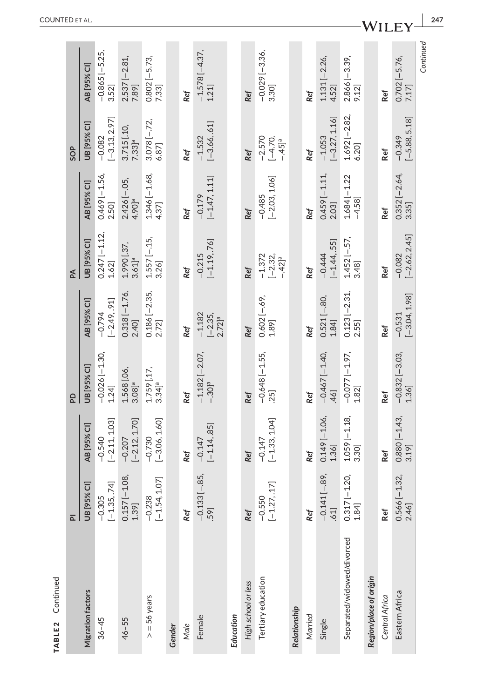|                            | $\overline{a}$                                  |                             | <b>PD</b>                               |                                               | R                                               |                                     | <b>SOP</b>                                    |                          |
|----------------------------|-------------------------------------------------|-----------------------------|-----------------------------------------|-----------------------------------------------|-------------------------------------------------|-------------------------------------|-----------------------------------------------|--------------------------|
| Migration factors          | UB [95% CI]                                     | AB [95% CI]                 | UB [95% CI]                             | AB [95% CI]                                   | UB [95% CI]                                     | AB [95% CI]                         | UB [95% CI]                                   | AB [95% CI]              |
| $36 - 45$                  | $-0.305$<br>$[-1.35, .74]$                      | $[-2.11, 1.03]$<br>$-0.540$ | $-0.026[-1.30]$<br>$1.24$ ]             | $[-2.49, 91]$<br>$-0.794$                     | $0.247[-1.12]$<br>1.62]                         | $0.469[-1.56, 2.50]$                | $[-3.13, 2.97]$<br>$-0.082$                   | $-0.865[-5.25,$<br>3.52] |
| $46 - 55$                  | $0.157[-1.08, 1.39]$                            | $[-2.12, 1.70]$<br>$-0.207$ | 1.568 [.06,<br>$3.08]$ <sup>a</sup>     | $0.318[-1.76,$<br>2.40                        | 1.990 [.37,<br>$3.61^{a}$                       | $2.426[-.05,$<br>4.90] <sup>a</sup> | 3.715 [.10,<br>$7.33]$ <sup>a</sup>           | $2.537[-2.81,$<br>7.89]  |
| $>$ = 56 years             | $[-1.54, 1.07]$<br>$-0.238$                     | $[-3.06, 1.60]$<br>$-0.730$ | 1.759 [.17,<br>$3.34$ <sup>a</sup>      | $0.186[-2.35,$<br>2.72]                       | $1.557[-15,$<br>3.26]                           | $1.346[-1.68]$<br>4.37]             | $3.078[-.72]$<br>6.87]                        | $0.802[-5.73,$<br>7.33]  |
| Gender                     |                                                 |                             |                                         |                                               |                                                 |                                     |                                               |                          |
| Male                       | Ref                                             | Ref                         | Ref                                     | Ref                                           | Ref                                             | Ref                                 | Ref                                           | Ref                      |
| Female                     | $-0.133[-.85,$<br>.59]                          | $[-1.14, 85]$<br>$-0.147$   | $-1.182[-2.07,$<br>$-.30]$ <sup>a</sup> | $-1.182$<br>$[-2.35,$<br>$2.72]$ <sup>a</sup> | $[-1.19, 76]$<br>$-0.215$                       | $-0.179$<br>[-1.47, 1.11]           | $-1.532$<br>[-3.66,.61]                       | $-1.578[-4.37,$<br>1.21] |
| Education                  |                                                 |                             |                                         |                                               |                                                 |                                     |                                               |                          |
| High school or less        | Ref                                             | Ref                         | Ref                                     | Ref                                           | Ref                                             | Ref                                 | Ref                                           | Ref                      |
| Tertiary education         | $\overline{\Sigma}$<br>$-0.550$<br>$[-1.27, 1]$ | $[-1.33, 1.04]$<br>$-0.147$ | $-0.648[-1.55]$<br>.25]                 | $0.602[-.69, 1.89]$                           | $-1.372$<br>[ $-2.32$ ]<br>$-.42]$ <sup>a</sup> | $[-2.03, 1.06]$<br>$-0.485$         | $-2.570$<br>$[-4.70,$<br>$-45$ ] <sup>a</sup> | $-0.029[-3.36,$<br>3.30] |
| Relationship               |                                                 |                             |                                         |                                               |                                                 |                                     |                                               |                          |
| Married                    | Ref                                             | Ref                         | Ref                                     | Ref                                           | Ref                                             | Ref                                 | Ref                                           | Ref                      |
| Single                     | $-0.141[-.89,$<br>.61]                          | $0.149[-1.06,$<br>1.36      | $-0.467[-1.40]$<br>.46]                 | $0.521[-.80,$<br>1.84                         | $[-1.44, 55]$<br>$-0.444$                       | $0.459[-1.11,$<br>2.03]             | $[-3.27, 1.16]$<br>$-1.053$                   | $1.131[-2.26,$<br>4.52]  |
| Separated/widowed/divorced | $0.317[-1.20,$<br>1.84]                         | $1.059[-1.18]$<br>3.30]     | $-0.077[-1.97]$<br>1.82                 | $0.123[-2.31]$<br>2.55]                       | $1.452[-.57,$<br>3.48]                          | $1.684[-1.22]$<br>$-4.58$ ]         | $1.692[-2.82]$<br>6.20]                       | $2.866[-3.39,$<br>9.12]  |
| Region/place of origin     |                                                 |                             |                                         |                                               |                                                 |                                     |                                               |                          |
| Central Africa             | Ref                                             | Ref                         | Ref                                     | Ref                                           | Ref                                             | Ref                                 | Ref                                           | Ref                      |
| Eastern Africa             | $0.566[-1.32, 2.46]$                            | $0.880[-1.43]$<br>$3.19$ ]  | $-0.832[-3.03]$<br>1.36]                | $[-3.04, 1.98]$<br>$-0.531$                   | $[-2.62, 2.45]$<br>$-0.082$                     | $0.352[-2.64,$<br>3.35]             | $[-5.88, 5.18]$<br>$-0.349$                   | $0.702[-5.76,$<br>7.17]  |
|                            |                                                 |                             |                                         |                                               |                                                 |                                     |                                               | Continued                |

#### COUNTED ET AL

**TABLE 2** Continued

TABLE 2 Continued

 $-WILEY$ <sup> $247$ </sup>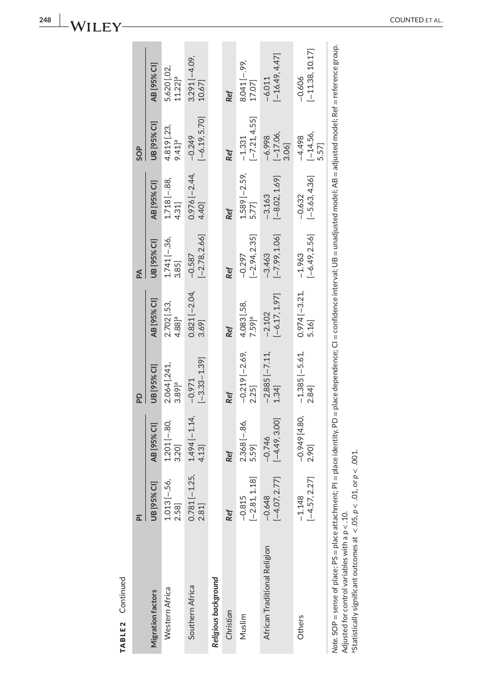|                                                                                                                                                                                                                                              | ᇟ                           |                             | <b>PD</b>                                                                                                                             |                                   | Æ                           |                             | <b>SOP</b>                          |                                    |
|----------------------------------------------------------------------------------------------------------------------------------------------------------------------------------------------------------------------------------------------|-----------------------------|-----------------------------|---------------------------------------------------------------------------------------------------------------------------------------|-----------------------------------|-----------------------------|-----------------------------|-------------------------------------|------------------------------------|
| <b>Migration factors</b>                                                                                                                                                                                                                     | <b>UB</b> [95% CI]          | AB [95% CI]                 | UB [95% CI]                                                                                                                           | AB [95% CI]                       | UB [95% CI]                 | AB [95% CI]                 | UB [95% CI]                         | AB [95% CI]                        |
| Western Africa                                                                                                                                                                                                                               | $1.013[-56,$<br>2.58]       | $1.201[-.80,$<br>3.20]      | 2.064 [.241,<br>$3.89]$ <sup>a</sup>                                                                                                  | 2.702 [.53,<br>4.88] <sup>a</sup> | $1.741[-.36,$<br>3.85]      | $1.718[-.88,$<br>4.31]      | 4.819 [.23,<br>$9.41]$ <sup>a</sup> | 5.620 [.02,<br>11.22] <sup>a</sup> |
| Southern Africa                                                                                                                                                                                                                              | $0.781[-1.25,$<br>2.81      | $1.494[-1.14,$<br>4.13]     | $[-3.33 - 1.39]$<br>$-0.971$                                                                                                          | $0.821[-2.04,$<br>3.69]           | $[-2.78, 2.66]$<br>$-0.587$ | $0.976[-2.44,$<br>4.40]     | $[-6.19, 5.70]$<br>$-0.249$         | $3.291[-4.09,$<br>10.67]           |
| Religious background                                                                                                                                                                                                                         |                             |                             |                                                                                                                                       |                                   |                             |                             |                                     |                                    |
| Christian                                                                                                                                                                                                                                    | Ref                         | Ref                         | Ref                                                                                                                                   | Ref                               | Ref                         | Ref                         | Ref                                 | Ref                                |
| Muslim                                                                                                                                                                                                                                       | $[-2.81, 1.18]$<br>$-0.815$ | $2.368[-.86,$<br>5.59]      | $-0.219[-2.69,$<br>2.25]                                                                                                              | 4.083 [.58,<br>7.59] <sup>a</sup> | $[-2.94, 2.35]$<br>$-0.297$ | $1.589[-2.59,$<br>5.77]     | $[-7.21, 4.55]$<br>$-1.331$         | $8.041[-.99,$<br>17.07]            |
| African Traditional Religion                                                                                                                                                                                                                 | $[-4.07, 2.77]$<br>$-0.648$ | $[-4.49, 3.00]$<br>$-0.746$ | $-2.885[-7.11,$<br>1.34]                                                                                                              | $[-6.17, 1.97]$<br>$-2.102$       | $[-7.99, 1.06]$<br>$-3.463$ | $[-8.02, 1.69]$<br>$-3.163$ | $[-17.06,$<br>$-6.998$<br>3.06]     | $[-16.49, 4.47]$<br>$-6.011$       |
| Others                                                                                                                                                                                                                                       | $[-4.57, 2.27]$<br>$-1.148$ | $-0.949$ [4.80,<br>2.90]    | $-1.385[-5.61,$<br>2.84]                                                                                                              | $0.974[-3.21,$<br>5.16]           | $[-6.49, 2.56]$<br>$-1.963$ | $[-5.63, 4.36]$<br>$-0.632$ | $[-14.56,$<br>$-4.498$<br>5.57]     | $[-11.38, 10.17]$<br>$-0.606$      |
| <sup>a</sup> Statistically significant outcomes at $\langle .05, p \langle .01, \text{or } p \langle .001, \text{or } p \rangle$<br>Note. SOP = sense of place; PS = place attachment; P<br>Adjusted for control variables with a $p < 10$ . |                             |                             | = place identity, PD = place dependence; CI = confidence interval; UB = unadjusted model; AB = adjusted model; Ref = reference group. |                                   |                             |                             |                                     |                                    |

TABLE 2 Continued **TABLE 2** Continued

# <u>248 WILEY</u>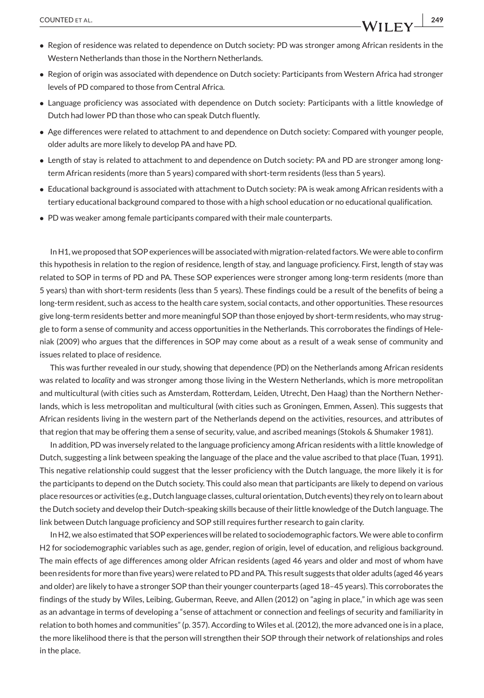- *•* Region of residence was related to dependence on Dutch society: PD was stronger among African residents in the Western Netherlands than those in the Northern Netherlands.
- *•* Region of origin was associated with dependence on Dutch society: Participants from Western Africa had stronger levels of PD compared to those from Central Africa.
- *•* Language proficiency was associated with dependence on Dutch society: Participants with a little knowledge of Dutch had lower PD than those who can speak Dutch fluently.
- *•* Age differences were related to attachment to and dependence on Dutch society: Compared with younger people, older adults are more likely to develop PA and have PD.
- *•* Length of stay is related to attachment to and dependence on Dutch society: PA and PD are stronger among longterm African residents (more than 5 years) compared with short-term residents (less than 5 years).
- *•* Educational background is associated with attachment to Dutch society: PA is weak among African residents with a tertiary educational background compared to those with a high school education or no educational qualification.
- *•* PD was weaker among female participants compared with their male counterparts.

In H1, we proposed that SOP experiences will be associated with migration-related factors.We were able to confirm this hypothesis in relation to the region of residence, length of stay, and language proficiency. First, length of stay was related to SOP in terms of PD and PA. These SOP experiences were stronger among long-term residents (more than 5 years) than with short-term residents (less than 5 years). These findings could be a result of the benefits of being a long-term resident, such as access to the health care system, social contacts, and other opportunities. These resources give long-term residents better and more meaningful SOP than those enjoyed by short-term residents, who may struggle to form a sense of community and access opportunities in the Netherlands. This corroborates the findings of Heleniak (2009) who argues that the differences in SOP may come about as a result of a weak sense of community and issues related to place of residence.

This was further revealed in our study, showing that dependence (PD) on the Netherlands among African residents was related to *locality* and was stronger among those living in the Western Netherlands, which is more metropolitan and multicultural (with cities such as Amsterdam, Rotterdam, Leiden, Utrecht, Den Haag) than the Northern Netherlands, which is less metropolitan and multicultural (with cities such as Groningen, Emmen, Assen). This suggests that African residents living in the western part of the Netherlands depend on the activities, resources, and attributes of that region that may be offering them a sense of security, value, and ascribed meanings (Stokols & Shumaker 1981).

In addition, PD was inversely related to the language proficiency among African residents with a little knowledge of Dutch, suggesting a link between speaking the language of the place and the value ascribed to that place (Tuan, 1991). This negative relationship could suggest that the lesser proficiency with the Dutch language, the more likely it is for the participants to depend on the Dutch society. This could also mean that participants are likely to depend on various place resources or activities (e.g., Dutch language classes, cultural orientation, Dutch events) they rely on to learn about the Dutch society and develop their Dutch-speaking skills because of their little knowledge of the Dutch language. The link between Dutch language proficiency and SOP still requires further research to gain clarity.

In H2, we also estimated that SOP experiences will be related to sociodemographic factors.We were able to confirm H2 for sociodemographic variables such as age, gender, region of origin, level of education, and religious background. The main effects of age differences among older African residents (aged 46 years and older and most of whom have been residents for more than five years) were related to PD and PA. This result suggests that older adults (aged 46 years and older) are likely to have a stronger SOP than their younger counterparts (aged 18–45 years). This corroborates the findings of the study by Wiles, Leibing, Guberman, Reeve, and Allen (2012) on "aging in place," in which age was seen as an advantage in terms of developing a "sense of attachment or connection and feelings of security and familiarity in relation to both homes and communities" (p. 357). According to Wiles et al. (2012), the more advanced one is in a place, the more likelihood there is that the person will strengthen their SOP through their network of relationships and roles in the place.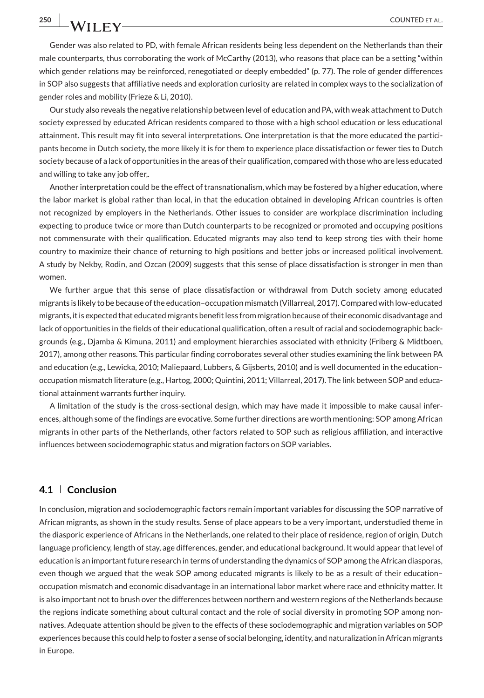Gender was also related to PD, with female African residents being less dependent on the Netherlands than their male counterparts, thus corroborating the work of McCarthy (2013), who reasons that place can be a setting "within which gender relations may be reinforced, renegotiated or deeply embedded" (p. 77). The role of gender differences in SOP also suggests that affiliative needs and exploration curiosity are related in complex ways to the socialization of gender roles and mobility (Frieze & Li, 2010).

Our study also reveals the negative relationship between level of education and PA, with weak attachment to Dutch society expressed by educated African residents compared to those with a high school education or less educational attainment. This result may fit into several interpretations. One interpretation is that the more educated the participants become in Dutch society, the more likely it is for them to experience place dissatisfaction or fewer ties to Dutch society because of a lack of opportunities in the areas of their qualification, compared with those who are less educated and willing to take any job offer,.

Another interpretation could be the effect of transnationalism, which may be fostered by a higher education, where the labor market is global rather than local, in that the education obtained in developing African countries is often not recognized by employers in the Netherlands. Other issues to consider are workplace discrimination including expecting to produce twice or more than Dutch counterparts to be recognized or promoted and occupying positions not commensurate with their qualification. Educated migrants may also tend to keep strong ties with their home country to maximize their chance of returning to high positions and better jobs or increased political involvement. A study by Nekby, Rodin, and Ozcan (2009) suggests that this sense of place dissatisfaction is stronger in men than women.

We further argue that this sense of place dissatisfaction or withdrawal from Dutch society among educated migrants is likely to be because of the education–occupation mismatch (Villarreal, 2017). Compared with low-educated migrants, it is expected that educated migrants benefit less from migration because of their economic disadvantage and lack of opportunities in the fields of their educational qualification, often a result of racial and sociodemographic backgrounds (e.g., Djamba & Kimuna, 2011) and employment hierarchies associated with ethnicity (Friberg & Midtboen, 2017), among other reasons. This particular finding corroborates several other studies examining the link between PA and education (e.g., Lewicka, 2010; Maliepaard, Lubbers, & Gijsberts, 2010) and is well documented in the education– occupation mismatch literature (e.g., Hartog, 2000; Quintini, 2011; Villarreal, 2017). The link between SOP and educational attainment warrants further inquiry.

A limitation of the study is the cross-sectional design, which may have made it impossible to make causal inferences, although some of the findings are evocative. Some further directions are worth mentioning: SOP among African migrants in other parts of the Netherlands, other factors related to SOP such as religious affiliation, and interactive influences between sociodemographic status and migration factors on SOP variables.

#### **4.1 Conclusion**

In conclusion, migration and sociodemographic factors remain important variables for discussing the SOP narrative of African migrants, as shown in the study results. Sense of place appears to be a very important, understudied theme in the diasporic experience of Africans in the Netherlands, one related to their place of residence, region of origin, Dutch language proficiency, length of stay, age differences, gender, and educational background. It would appear that level of education is an important future research in terms of understanding the dynamics of SOP among the African diasporas, even though we argued that the weak SOP among educated migrants is likely to be as a result of their education– occupation mismatch and economic disadvantage in an international labor market where race and ethnicity matter. It is also important not to brush over the differences between northern and western regions of the Netherlands because the regions indicate something about cultural contact and the role of social diversity in promoting SOP among nonnatives. Adequate attention should be given to the effects of these sociodemographic and migration variables on SOP experiences because this could help to foster a sense of social belonging, identity, and naturalization in African migrants in Europe.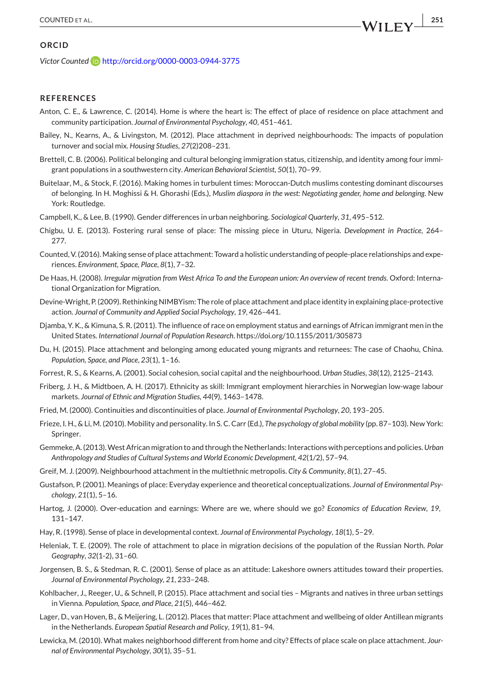#### **ORCID**

*Victor Counted* <http://orcid.org/0000-0003-0944-3775>

#### **REFERENCES**

- Anton, C. E., & Lawrence, C. (2014). Home is where the heart is: The effect of place of residence on place attachment and community participation. *Journal of Environmental Psychology*, *40*, 451–461.
- Bailey, N., Kearns, A., & Livingston, M. (2012). Place attachment in deprived neighbourhoods: The impacts of population turnover and social mix. *Housing Studies*, *27*(2)208–231.
- Brettell, C. B. (2006). Political belonging and cultural belonging immigration status, citizenship, and identity among four immigrant populations in a southwestern city. *American Behavioral Scientist*, *50*(1), 70–99.
- Buitelaar, M., & Stock, F. (2016). Making homes in turbulent times: Moroccan-Dutch muslims contesting dominant discourses of belonging. In H. Moghissi & H. Ghorashi (Eds.), *Muslim diaspora in the west: Negotiating gender, home and belonging*. New York: Routledge.
- Campbell, K., & Lee, B. (1990). Gender differences in urban neighboring. *Sociological Quarterly*, *31*, 495–512.
- Chigbu, U. E. (2013). Fostering rural sense of place: The missing piece in Uturu, Nigeria. *Development in Practice*, 264– 277.
- Counted, V. (2016). Making sense of place attachment: Toward a holistic understanding of people-place relationships and experiences. *Environment, Space, Place*, *8*(1), 7–32.
- De Haas, H. (2008). *Irregular migration from West Africa To and the European union: An overview of recent trends*. Oxford: International Organization for Migration.
- Devine-Wright, P. (2009). Rethinking NIMBYism: The role of place attachment and place identity in explaining place-protective action. *Journal of Community and Applied Social Psychology*, *19*, 426–441.
- Djamba, Y. K., & Kimuna, S. R. (2011). The influence of race on employment status and earnings of African immigrant men in the United States. *International Journal of Population Research*.<https://doi.org/10.1155/2011/305873>
- Du, H. (2015). Place attachment and belonging among educated young migrants and returnees: The case of Chaohu, China. *Population, Space, and Place*, *23*(1), 1–16.
- Forrest, R. S., & Kearns, A. (2001). Social cohesion, social capital and the neighbourhood. *Urban Studies*, *38*(12), 2125–2143.
- Friberg, J. H., & Midtboen, A. H. (2017). Ethnicity as skill: Immigrant employment hierarchies in Norwegian low-wage labour markets. *Journal of Ethnic and Migration Studies*, *44*(9), 1463–1478.
- Fried, M. (2000). Continuities and discontinuities of place. *Journal of Environmental Psychology*, *20*, 193–205.
- Frieze, I. H., & Li, M. (2010). Mobility and personality. In S. C. Carr (Ed.), *The psychology of global mobility* (pp. 87–103). New York: Springer.
- Gemmeke, A. (2013).West African migration to and through the Netherlands: Interactions with perceptions and policies.*Urban Anthropology and Studies of Cultural Systems and World Economic Development*, *42*(1/2), 57–94.
- Greif, M. J. (2009). Neighbourhood attachment in the multiethnic metropolis. *City & Community*, *8*(1), 27–45.
- Gustafson, P. (2001). Meanings of place: Everyday experience and theoretical conceptualizations. *Journal of Environmental Psychology*, *21*(1), 5–16.
- Hartog, J. (2000). Over-education and earnings: Where are we, where should we go? *Economics of Education Review*, *19*, 131–147.
- Hay, R. (1998). Sense of place in developmental context. *Journal of Environmental Psychology*, *18*(1), 5–29.
- Heleniak, T. E. (2009). The role of attachment to place in migration decisions of the population of the Russian North. *Polar Geography*, *32*(1-2), 31–60.
- Jorgensen, B. S., & Stedman, R. C. (2001). Sense of place as an attitude: Lakeshore owners attitudes toward their properties. *Journal of Environmental Psychology*, *21*, 233–248.
- Kohlbacher, J., Reeger, U., & Schnell, P. (2015). Place attachment and social ties Migrants and natives in three urban settings in Vienna. *Population, Space, and Place*, *21*(5), 446–462.
- Lager, D., van Hoven, B., & Meijering, L. (2012). Places that matter: Place attachment and wellbeing of older Antillean migrants in the Netherlands. *European Spatial Research and Policy*, *19*(1), 81–94.
- Lewicka, M. (2010). What makes neighborhood different from home and city? Effects of place scale on place attachment. *Journal of Environmental Psychology*, *30*(1), 35–51.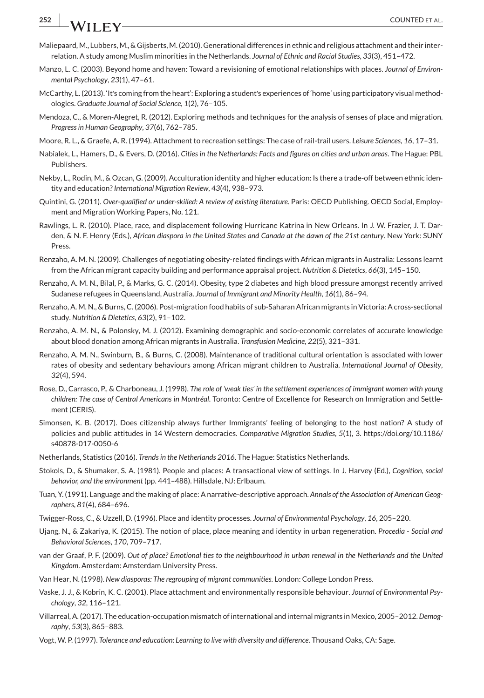- Maliepaard, M., Lubbers, M., & Gijsberts, M. (2010). Generational differences in ethnic and religious attachment and their interrelation. A study among Muslim minorities in the Netherlands. *Journal of Ethnic and Racial Studies*, *33*(3), 451–472.
- Manzo, L. C. (2003). Beyond home and haven: Toward a revisioning of emotional relationships with places. *Journal of Environmental Psychology*, *23*(1), 47–61.
- McCarthy, L. (2013). 'It's coming from the heart': Exploring a student's experiences of 'home' using participatory visual methodologies. *Graduate Journal of Social Science*, *1*(2), 76–105.
- Mendoza, C., & Moren-Alegret, R. (2012). Exploring methods and techniques for the analysis of senses of place and migration. *Progress in Human Geography*, *37*(6), 762–785.
- Moore, R. L., & Graefe, A. R. (1994). Attachment to recreation settings: The case of rail-trail users. *Leisure Sciences*, *16*, 17–31.
- Nabialek, L., Hamers, D., & Evers, D. (2016). *Cities in the Netherlands: Facts and figures on cities and urban areas*. The Hague: PBL Publishers.
- Nekby, L., Rodin, M., & Ozcan, G. (2009). Acculturation identity and higher education: Is there a trade-off between ethnic identity and education?*International Migration Review*, *43*(4), 938–973.
- Quintini, G. (2011). Over-qualified or under-skilled: A review of existing literature. Paris: OECD Publishing. OECD Social, Employment and Migration Working Papers, No. 121.
- Rawlings, L. R. (2010). Place, race, and displacement following Hurricane Katrina in New Orleans. In J. W. Frazier, J. T. Darden, & N. F. Henry (Eds.), *African diaspora in the United States and Canada at the dawn of the 21st century*. New York: SUNY Press.
- Renzaho, A. M. N. (2009). Challenges of negotiating obesity-related findings with African migrants in Australia: Lessons learnt from the African migrant capacity building and performance appraisal project. *Nutrition & Dietetics*, *66*(3), 145–150.
- Renzaho, A. M. N., Bilal, P., & Marks, G. C. (2014). Obesity, type 2 diabetes and high blood pressure amongst recently arrived Sudanese refugees in Queensland, Australia. *Journal of Immigrant and Minority Health*, *16*(1), 86–94.
- Renzaho, A. M. N., & Burns, C. (2006). Post-migration food habits of sub-Saharan African migrants in Victoria: A cross-sectional study. *Nutrition & Dietetics*, *63*(2), 91–102.
- Renzaho, A. M. N., & Polonsky, M. J. (2012). Examining demographic and socio-economic correlates of accurate knowledge about blood donation among African migrants in Australia. *Transfusion Medicine*, *22*(5), 321–331.
- Renzaho, A. M. N., Swinburn, B., & Burns, C. (2008). Maintenance of traditional cultural orientation is associated with lower rates of obesity and sedentary behaviours among African migrant children to Australia. *International Journal of Obesity*, *32*(4), 594.
- Rose, D., Carrasco, P., & Charboneau, J. (1998). *The role of 'weak ties' in the settlement experiences of immigrant women with young children: The case of Central Americans in Montréal*. Toronto: Centre of Excellence for Research on Immigration and Settlement (CERIS).
- Simonsen, K. B. (2017). Does citizenship always further Immigrants' feeling of belonging to the host nation? A study of policies and public attitudes in 14 Western democracies. *Comparative Migration Studies*, *5*(1), 3. [https://doi.org/10.1186/](https://doi.org/10.1186/s40878-017-0050-6) [s40878-017-0050-6](https://doi.org/10.1186/s40878-017-0050-6)
- Netherlands, Statistics (2016). *Trends in the Netherlands 2016*. The Hague: Statistics Netherlands.
- Stokols, D., & Shumaker, S. A. (1981). People and places: A transactional view of settings. In J. Harvey (Ed.), *Cognition, social behavior, and the environment* (pp. 441–488). Hillsdale, NJ: Erlbaum.
- Tuan, Y. (1991). Language and the making of place: A narrative-descriptive approach. *Annals of the Association of American Geographers*, *81*(4), 684–696.
- Twigger-Ross, C., & Uzzell, D. (1996). Place and identity processes. *Journal of Environmental Psychology*, *16*, 205–220.
- Ujang, N., & Zakariya, K. (2015). The notion of place, place meaning and identity in urban regeneration. *Procedia Social and Behavioral Sciences*, *170*, 709–717.
- van der Graaf, P. F. (2009). *Out of place? Emotional ties to the neighbourhood in urban renewal in the Netherlands and the United Kingdom*. Amsterdam: Amsterdam University Press.
- Van Hear, N. (1998). *New diasporas: The regrouping of migrant communities*. London: College London Press.
- Vaske, J. J., & Kobrin, K. C. (2001). Place attachment and environmentally responsible behaviour. *Journal of Environmental Psychology*, *32*, 116–121.
- Villarreal, A. (2017). The education-occupation mismatch of international and internal migrants in Mexico, 2005–2012.*Demography*, *53*(3), 865–883.
- Vogt, W. P. (1997). *Tolerance and education: Learning to live with diversity and difference*. Thousand Oaks, CA: Sage.